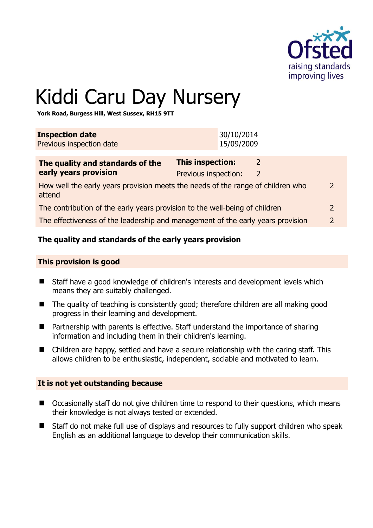

# Kiddi Caru Day Nursery

**York Road, Burgess Hill, West Sussex, RH15 9TT** 

| <b>Inspection date</b><br>Previous inspection date                                                         | 30/10/2014<br>15/09/2009                                                   |  |
|------------------------------------------------------------------------------------------------------------|----------------------------------------------------------------------------|--|
| The quality and standards of the<br>early years provision                                                  | This inspection:<br>$\mathcal{L}$<br>Previous inspection:<br>$\mathcal{L}$ |  |
| How well the early years provision meets the needs of the range of children who<br>$\mathcal{P}$<br>attend |                                                                            |  |
| The contribution of the early years provision to the well-being of children<br>2                           |                                                                            |  |
| The effectiveness of the leadership and management of the early years provision<br>2                       |                                                                            |  |

# **The quality and standards of the early years provision**

#### **This provision is good**

- Staff have a good knowledge of children's interests and development levels which means they are suitably challenged.
- The quality of teaching is consistently good; therefore children are all making good progress in their learning and development.
- Partnership with parents is effective. Staff understand the importance of sharing information and including them in their children's learning.
- Children are happy, settled and have a secure relationship with the caring staff. This allows children to be enthusiastic, independent, sociable and motivated to learn.

#### **It is not yet outstanding because**

- Occasionally staff do not give children time to respond to their questions, which means their knowledge is not always tested or extended.
- Staff do not make full use of displays and resources to fully support children who speak English as an additional language to develop their communication skills.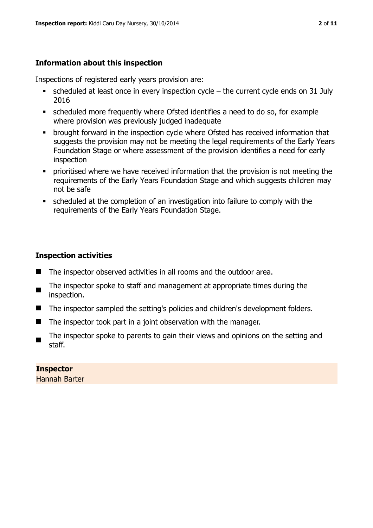# **Information about this inspection**

Inspections of registered early years provision are:

- $\bullet$  scheduled at least once in every inspection cycle the current cycle ends on 31 July 2016
- scheduled more frequently where Ofsted identifies a need to do so, for example where provision was previously judged inadequate
- **•** brought forward in the inspection cycle where Ofsted has received information that suggests the provision may not be meeting the legal requirements of the Early Years Foundation Stage or where assessment of the provision identifies a need for early inspection
- **•** prioritised where we have received information that the provision is not meeting the requirements of the Early Years Foundation Stage and which suggests children may not be safe
- scheduled at the completion of an investigation into failure to comply with the requirements of the Early Years Foundation Stage.

# **Inspection activities**

- The inspector observed activities in all rooms and the outdoor area.
- The inspector spoke to staff and management at appropriate times during the inspection.
- The inspector sampled the setting's policies and children's development folders.
- $\blacksquare$  The inspector took part in a joint observation with the manager.
- The inspector spoke to parents to gain their views and opinions on the setting and staff.

**Inspector**  Hannah Barter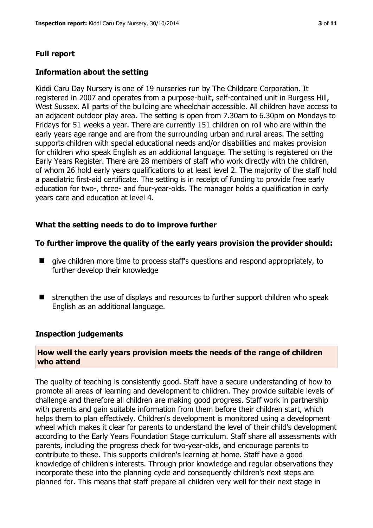# **Full report**

#### **Information about the setting**

Kiddi Caru Day Nursery is one of 19 nurseries run by The Childcare Corporation. It registered in 2007 and operates from a purpose-built, self-contained unit in Burgess Hill, West Sussex. All parts of the building are wheelchair accessible. All children have access to an adjacent outdoor play area. The setting is open from 7.30am to 6.30pm on Mondays to Fridays for 51 weeks a year. There are currently 151 children on roll who are within the early years age range and are from the surrounding urban and rural areas. The setting supports children with special educational needs and/or disabilities and makes provision for children who speak English as an additional language. The setting is registered on the Early Years Register. There are 28 members of staff who work directly with the children, of whom 26 hold early years qualifications to at least level 2. The majority of the staff hold a paediatric first-aid certificate. The setting is in receipt of funding to provide free early education for two-, three- and four-year-olds. The manager holds a qualification in early years care and education at level 4.

#### **What the setting needs to do to improve further**

#### **To further improve the quality of the early years provision the provider should:**

- qive children more time to process staff's questions and respond appropriately, to further develop their knowledge
- strengthen the use of displays and resources to further support children who speak English as an additional language.

#### **Inspection judgements**

#### **How well the early years provision meets the needs of the range of children who attend**

The quality of teaching is consistently good. Staff have a secure understanding of how to promote all areas of learning and development to children. They provide suitable levels of challenge and therefore all children are making good progress. Staff work in partnership with parents and gain suitable information from them before their children start, which helps them to plan effectively. Children's development is monitored using a development wheel which makes it clear for parents to understand the level of their child's development according to the Early Years Foundation Stage curriculum. Staff share all assessments with parents, including the progress check for two-year-olds, and encourage parents to contribute to these. This supports children's learning at home. Staff have a good knowledge of children's interests. Through prior knowledge and regular observations they incorporate these into the planning cycle and consequently children's next steps are planned for. This means that staff prepare all children very well for their next stage in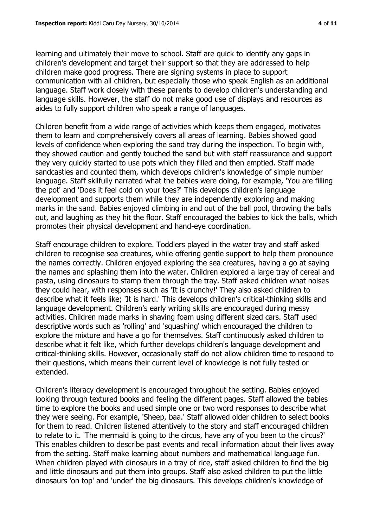learning and ultimately their move to school. Staff are quick to identify any gaps in children's development and target their support so that they are addressed to help children make good progress. There are signing systems in place to support communication with all children, but especially those who speak English as an additional language. Staff work closely with these parents to develop children's understanding and language skills. However, the staff do not make good use of displays and resources as aides to fully support children who speak a range of languages.

Children benefit from a wide range of activities which keeps them engaged, motivates them to learn and comprehensively covers all areas of learning. Babies showed good levels of confidence when exploring the sand tray during the inspection. To begin with, they showed caution and gently touched the sand but with staff reassurance and support they very quickly started to use pots which they filled and then emptied. Staff made sandcastles and counted them, which develops children's knowledge of simple number language. Staff skilfully narrated what the babies were doing, for example, 'You are filling the pot' and 'Does it feel cold on your toes?' This develops children's language development and supports them while they are independently exploring and making marks in the sand. Babies enjoyed climbing in and out of the ball pool, throwing the balls out, and laughing as they hit the floor. Staff encouraged the babies to kick the balls, which promotes their physical development and hand-eye coordination.

Staff encourage children to explore. Toddlers played in the water tray and staff asked children to recognise sea creatures, while offering gentle support to help them pronounce the names correctly. Children enjoyed exploring the sea creatures, having a go at saying the names and splashing them into the water. Children explored a large tray of cereal and pasta, using dinosaurs to stamp them through the tray. Staff asked children what noises they could hear, with responses such as 'It is crunchy!' They also asked children to describe what it feels like; 'It is hard.' This develops children's critical-thinking skills and language development. Children's early writing skills are encouraged during messy activities. Children made marks in shaving foam using different sized cars. Staff used descriptive words such as 'rolling' and 'squashing' which encouraged the children to explore the mixture and have a go for themselves. Staff continuously asked children to describe what it felt like, which further develops children's language development and critical-thinking skills. However, occasionally staff do not allow children time to respond to their questions, which means their current level of knowledge is not fully tested or extended.

Children's literacy development is encouraged throughout the setting. Babies enjoyed looking through textured books and feeling the different pages. Staff allowed the babies time to explore the books and used simple one or two word responses to describe what they were seeing. For example, 'Sheep, baa.' Staff allowed older children to select books for them to read. Children listened attentively to the story and staff encouraged children to relate to it. 'The mermaid is going to the circus, have any of you been to the circus?' This enables children to describe past events and recall information about their lives away from the setting. Staff make learning about numbers and mathematical language fun. When children played with dinosaurs in a tray of rice, staff asked children to find the big and little dinosaurs and put them into groups. Staff also asked children to put the little dinosaurs 'on top' and 'under' the big dinosaurs. This develops children's knowledge of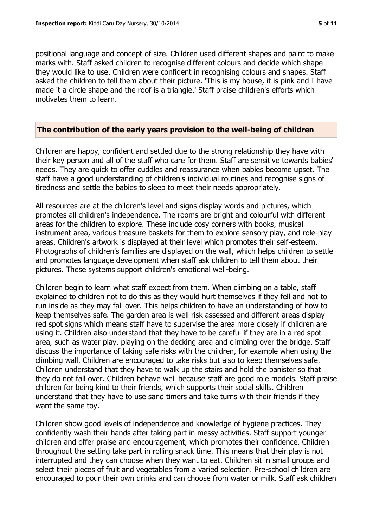positional language and concept of size. Children used different shapes and paint to make marks with. Staff asked children to recognise different colours and decide which shape they would like to use. Children were confident in recognising colours and shapes. Staff asked the children to tell them about their picture. 'This is my house, it is pink and I have made it a circle shape and the roof is a triangle.' Staff praise children's efforts which motivates them to learn.

#### **The contribution of the early years provision to the well-being of children**

Children are happy, confident and settled due to the strong relationship they have with their key person and all of the staff who care for them. Staff are sensitive towards babies' needs. They are quick to offer cuddles and reassurance when babies become upset. The staff have a good understanding of children's individual routines and recognise signs of tiredness and settle the babies to sleep to meet their needs appropriately.

All resources are at the children's level and signs display words and pictures, which promotes all children's independence. The rooms are bright and colourful with different areas for the children to explore. These include cosy corners with books, musical instrument area, various treasure baskets for them to explore sensory play, and role-play areas. Children's artwork is displayed at their level which promotes their self-esteem. Photographs of children's families are displayed on the wall, which helps children to settle and promotes language development when staff ask children to tell them about their pictures. These systems support children's emotional well-being.

Children begin to learn what staff expect from them. When climbing on a table, staff explained to children not to do this as they would hurt themselves if they fell and not to run inside as they may fall over. This helps children to have an understanding of how to keep themselves safe. The garden area is well risk assessed and different areas display red spot signs which means staff have to supervise the area more closely if children are using it. Children also understand that they have to be careful if they are in a red spot area, such as water play, playing on the decking area and climbing over the bridge. Staff discuss the importance of taking safe risks with the children, for example when using the climbing wall. Children are encouraged to take risks but also to keep themselves safe. Children understand that they have to walk up the stairs and hold the banister so that they do not fall over. Children behave well because staff are good role models. Staff praise children for being kind to their friends, which supports their social skills. Children understand that they have to use sand timers and take turns with their friends if they want the same toy.

Children show good levels of independence and knowledge of hygiene practices. They confidently wash their hands after taking part in messy activities. Staff support younger children and offer praise and encouragement, which promotes their confidence. Children throughout the setting take part in rolling snack time. This means that their play is not interrupted and they can choose when they want to eat. Children sit in small groups and select their pieces of fruit and vegetables from a varied selection. Pre-school children are encouraged to pour their own drinks and can choose from water or milk. Staff ask children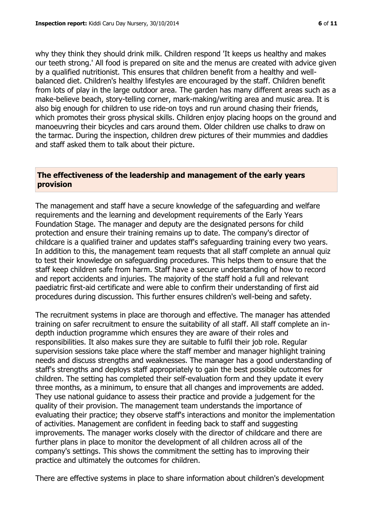why they think they should drink milk. Children respond 'It keeps us healthy and makes our teeth strong.' All food is prepared on site and the menus are created with advice given by a qualified nutritionist. This ensures that children benefit from a healthy and wellbalanced diet. Children's healthy lifestyles are encouraged by the staff. Children benefit from lots of play in the large outdoor area. The garden has many different areas such as a make-believe beach, story-telling corner, mark-making/writing area and music area. It is also big enough for children to use ride-on toys and run around chasing their friends, which promotes their gross physical skills. Children enjoy placing hoops on the ground and manoeuvring their bicycles and cars around them. Older children use chalks to draw on the tarmac. During the inspection, children drew pictures of their mummies and daddies and staff asked them to talk about their picture.

#### **The effectiveness of the leadership and management of the early years provision**

The management and staff have a secure knowledge of the safeguarding and welfare requirements and the learning and development requirements of the Early Years Foundation Stage. The manager and deputy are the designated persons for child protection and ensure their training remains up to date. The company's director of childcare is a qualified trainer and updates staff's safeguarding training every two years. In addition to this, the management team requests that all staff complete an annual quiz to test their knowledge on safeguarding procedures. This helps them to ensure that the staff keep children safe from harm. Staff have a secure understanding of how to record and report accidents and injuries. The majority of the staff hold a full and relevant paediatric first-aid certificate and were able to confirm their understanding of first aid procedures during discussion. This further ensures children's well-being and safety.

The recruitment systems in place are thorough and effective. The manager has attended training on safer recruitment to ensure the suitability of all staff. All staff complete an indepth induction programme which ensures they are aware of their roles and responsibilities. It also makes sure they are suitable to fulfil their job role. Regular supervision sessions take place where the staff member and manager highlight training needs and discuss strengths and weaknesses. The manager has a good understanding of staff's strengths and deploys staff appropriately to gain the best possible outcomes for children. The setting has completed their self-evaluation form and they update it every three months, as a minimum, to ensure that all changes and improvements are added. They use national guidance to assess their practice and provide a judgement for the quality of their provision. The management team understands the importance of evaluating their practice; they observe staff's interactions and monitor the implementation of activities. Management are confident in feeding back to staff and suggesting improvements. The manager works closely with the director of childcare and there are further plans in place to monitor the development of all children across all of the company's settings. This shows the commitment the setting has to improving their practice and ultimately the outcomes for children.

There are effective systems in place to share information about children's development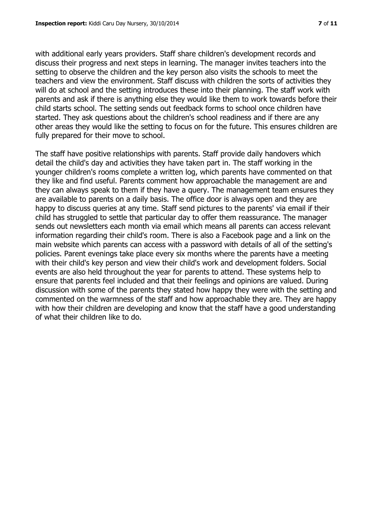with additional early years providers. Staff share children's development records and discuss their progress and next steps in learning. The manager invites teachers into the setting to observe the children and the key person also visits the schools to meet the teachers and view the environment. Staff discuss with children the sorts of activities they will do at school and the setting introduces these into their planning. The staff work with parents and ask if there is anything else they would like them to work towards before their child starts school. The setting sends out feedback forms to school once children have started. They ask questions about the children's school readiness and if there are any other areas they would like the setting to focus on for the future. This ensures children are fully prepared for their move to school.

The staff have positive relationships with parents. Staff provide daily handovers which detail the child's day and activities they have taken part in. The staff working in the younger children's rooms complete a written log, which parents have commented on that they like and find useful. Parents comment how approachable the management are and they can always speak to them if they have a query. The management team ensures they are available to parents on a daily basis. The office door is always open and they are happy to discuss queries at any time. Staff send pictures to the parents' via email if their child has struggled to settle that particular day to offer them reassurance. The manager sends out newsletters each month via email which means all parents can access relevant information regarding their child's room. There is also a Facebook page and a link on the main website which parents can access with a password with details of all of the setting's policies. Parent evenings take place every six months where the parents have a meeting with their child's key person and view their child's work and development folders. Social events are also held throughout the year for parents to attend. These systems help to ensure that parents feel included and that their feelings and opinions are valued. During discussion with some of the parents they stated how happy they were with the setting and commented on the warmness of the staff and how approachable they are. They are happy with how their children are developing and know that the staff have a good understanding of what their children like to do.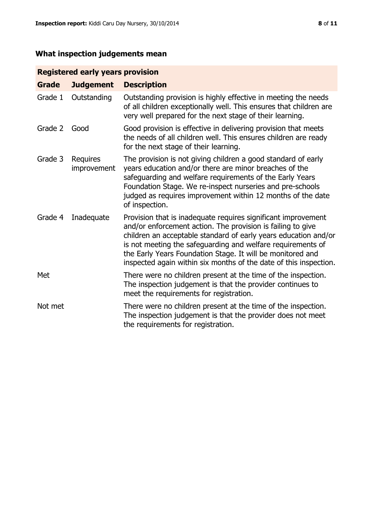# **What inspection judgements mean**

# **Registered early years provision**

| Grade   | <b>Judgement</b>               | <b>Description</b>                                                                                                                                                                                                                                                                                                                                                                                |
|---------|--------------------------------|---------------------------------------------------------------------------------------------------------------------------------------------------------------------------------------------------------------------------------------------------------------------------------------------------------------------------------------------------------------------------------------------------|
| Grade 1 | Outstanding                    | Outstanding provision is highly effective in meeting the needs<br>of all children exceptionally well. This ensures that children are<br>very well prepared for the next stage of their learning.                                                                                                                                                                                                  |
| Grade 2 | Good                           | Good provision is effective in delivering provision that meets<br>the needs of all children well. This ensures children are ready<br>for the next stage of their learning.                                                                                                                                                                                                                        |
| Grade 3 | <b>Requires</b><br>improvement | The provision is not giving children a good standard of early<br>years education and/or there are minor breaches of the<br>safeguarding and welfare requirements of the Early Years<br>Foundation Stage. We re-inspect nurseries and pre-schools<br>judged as requires improvement within 12 months of the date<br>of inspection.                                                                 |
| Grade 4 | Inadequate                     | Provision that is inadequate requires significant improvement<br>and/or enforcement action. The provision is failing to give<br>children an acceptable standard of early years education and/or<br>is not meeting the safeguarding and welfare requirements of<br>the Early Years Foundation Stage. It will be monitored and<br>inspected again within six months of the date of this inspection. |
| Met     |                                | There were no children present at the time of the inspection.<br>The inspection judgement is that the provider continues to<br>meet the requirements for registration.                                                                                                                                                                                                                            |
| Not met |                                | There were no children present at the time of the inspection.<br>The inspection judgement is that the provider does not meet<br>the requirements for registration.                                                                                                                                                                                                                                |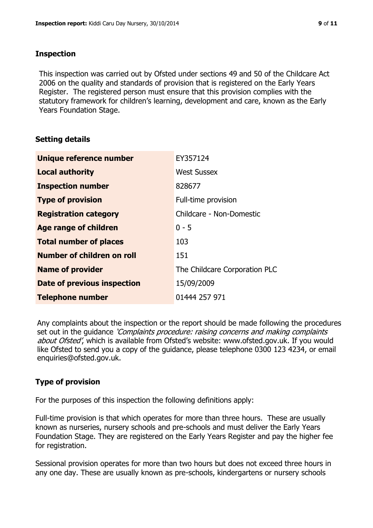#### **Inspection**

This inspection was carried out by Ofsted under sections 49 and 50 of the Childcare Act 2006 on the quality and standards of provision that is registered on the Early Years Register. The registered person must ensure that this provision complies with the statutory framework for children's learning, development and care, known as the Early Years Foundation Stage.

# **Setting details**

| Unique reference number       | EY357124                      |
|-------------------------------|-------------------------------|
| <b>Local authority</b>        | <b>West Sussex</b>            |
| <b>Inspection number</b>      | 828677                        |
| <b>Type of provision</b>      | Full-time provision           |
| <b>Registration category</b>  | Childcare - Non-Domestic      |
| Age range of children         | $0 - 5$                       |
| <b>Total number of places</b> | 103                           |
| Number of children on roll    | 151                           |
| <b>Name of provider</b>       | The Childcare Corporation PLC |
| Date of previous inspection   | 15/09/2009                    |
| <b>Telephone number</b>       | 01444 257 971                 |

Any complaints about the inspection or the report should be made following the procedures set out in the guidance *'Complaints procedure: raising concerns and making complaints* about Ofsted', which is available from Ofsted's website: www.ofsted.gov.uk. If you would like Ofsted to send you a copy of the guidance, please telephone 0300 123 4234, or email enquiries@ofsted.gov.uk.

# **Type of provision**

For the purposes of this inspection the following definitions apply:

Full-time provision is that which operates for more than three hours. These are usually known as nurseries, nursery schools and pre-schools and must deliver the Early Years Foundation Stage. They are registered on the Early Years Register and pay the higher fee for registration.

Sessional provision operates for more than two hours but does not exceed three hours in any one day. These are usually known as pre-schools, kindergartens or nursery schools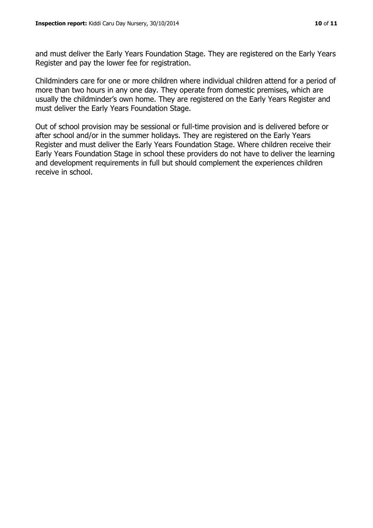and must deliver the Early Years Foundation Stage. They are registered on the Early Years Register and pay the lower fee for registration.

Childminders care for one or more children where individual children attend for a period of more than two hours in any one day. They operate from domestic premises, which are usually the childminder's own home. They are registered on the Early Years Register and must deliver the Early Years Foundation Stage.

Out of school provision may be sessional or full-time provision and is delivered before or after school and/or in the summer holidays. They are registered on the Early Years Register and must deliver the Early Years Foundation Stage. Where children receive their Early Years Foundation Stage in school these providers do not have to deliver the learning and development requirements in full but should complement the experiences children receive in school.